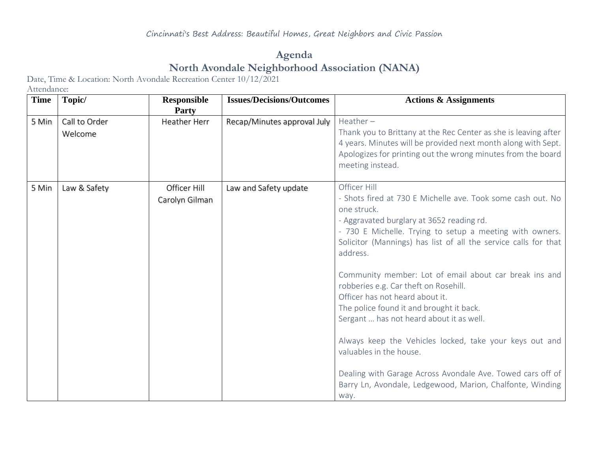## **Agenda North Avondale Neighborhood Association (NANA)**

Date, Time & Location: North Avondale Recreation Center 10/12/2021

Attendance:

| <b>Time</b> | Topic/                   | <b>Responsible</b>  | <b>Issues/Decisions/Outcomes</b> | <b>Actions &amp; Assignments</b>                                                                |
|-------------|--------------------------|---------------------|----------------------------------|-------------------------------------------------------------------------------------------------|
|             |                          | Party               |                                  |                                                                                                 |
| 5 Min       | Call to Order<br>Welcome | <b>Heather Herr</b> | Recap/Minutes approval July      | Heather $-$<br>Thank you to Brittany at the Rec Center as she is leaving after                  |
|             |                          |                     |                                  | 4 years. Minutes will be provided next month along with Sept.                                   |
|             |                          |                     |                                  | Apologizes for printing out the wrong minutes from the board<br>meeting instead.                |
|             |                          |                     |                                  | Officer Hill                                                                                    |
| 5 Min       | Law & Safety             | Officer Hill        | Law and Safety update            |                                                                                                 |
|             |                          | Carolyn Gilman      |                                  | - Shots fired at 730 E Michelle ave. Took some cash out. No<br>one struck.                      |
|             |                          |                     |                                  | - Aggravated burglary at 3652 reading rd.                                                       |
|             |                          |                     |                                  | - 730 E Michelle. Trying to setup a meeting with owners.                                        |
|             |                          |                     |                                  | Solicitor (Mannings) has list of all the service calls for that                                 |
|             |                          |                     |                                  | address.                                                                                        |
|             |                          |                     |                                  | Community member: Lot of email about car break ins and<br>robberies e.g. Car theft on Rosehill. |
|             |                          |                     |                                  | Officer has not heard about it.                                                                 |
|             |                          |                     |                                  | The police found it and brought it back.                                                        |
|             |                          |                     |                                  | Sergant  has not heard about it as well.                                                        |
|             |                          |                     |                                  | Always keep the Vehicles locked, take your keys out and                                         |
|             |                          |                     |                                  | valuables in the house.                                                                         |
|             |                          |                     |                                  | Dealing with Garage Across Avondale Ave. Towed cars off of                                      |
|             |                          |                     |                                  | Barry Ln, Avondale, Ledgewood, Marion, Chalfonte, Winding<br>way.                               |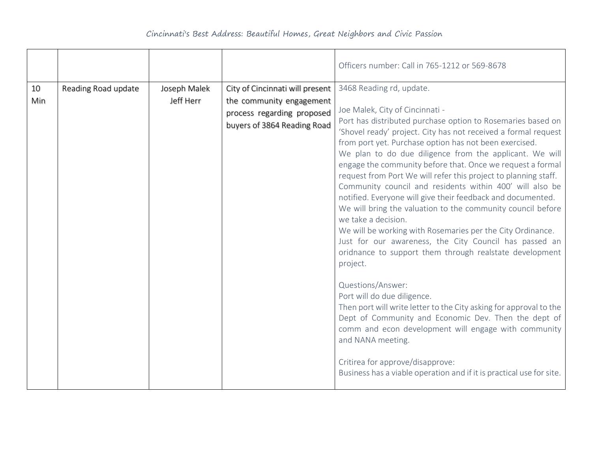|     |                     |              |                                 | Officers number: Call in 765-1212 or 569-8678                                                                                                                                                                                                                                                                                                                                                                                                                                                                                                                                                                                                                                                                                                                                                       |
|-----|---------------------|--------------|---------------------------------|-----------------------------------------------------------------------------------------------------------------------------------------------------------------------------------------------------------------------------------------------------------------------------------------------------------------------------------------------------------------------------------------------------------------------------------------------------------------------------------------------------------------------------------------------------------------------------------------------------------------------------------------------------------------------------------------------------------------------------------------------------------------------------------------------------|
| 10  | Reading Road update | Joseph Malek | City of Cincinnati will present | 3468 Reading rd, update.                                                                                                                                                                                                                                                                                                                                                                                                                                                                                                                                                                                                                                                                                                                                                                            |
| Min |                     | Jeff Herr    | the community engagement        |                                                                                                                                                                                                                                                                                                                                                                                                                                                                                                                                                                                                                                                                                                                                                                                                     |
|     |                     |              | process regarding proposed      | Joe Malek, City of Cincinnati -                                                                                                                                                                                                                                                                                                                                                                                                                                                                                                                                                                                                                                                                                                                                                                     |
|     |                     |              | buyers of 3864 Reading Road     | Port has distributed purchase option to Rosemaries based on<br>'Shovel ready' project. City has not received a formal request<br>from port yet. Purchase option has not been exercised.<br>We plan to do due diligence from the applicant. We will<br>engage the community before that. Once we request a formal<br>request from Port We will refer this project to planning staff.<br>Community council and residents within 400' will also be<br>notified. Everyone will give their feedback and documented.<br>We will bring the valuation to the community council before<br>we take a decision.<br>We will be working with Rosemaries per the City Ordinance.<br>Just for our awareness, the City Council has passed an<br>oridnance to support them through realstate development<br>project. |
|     |                     |              |                                 | Questions/Answer:<br>Port will do due diligence.<br>Then port will write letter to the City asking for approval to the<br>Dept of Community and Economic Dev. Then the dept of<br>comm and econ development will engage with community<br>and NANA meeting.<br>Critirea for approve/disapprove:<br>Business has a viable operation and if it is practical use for site.                                                                                                                                                                                                                                                                                                                                                                                                                             |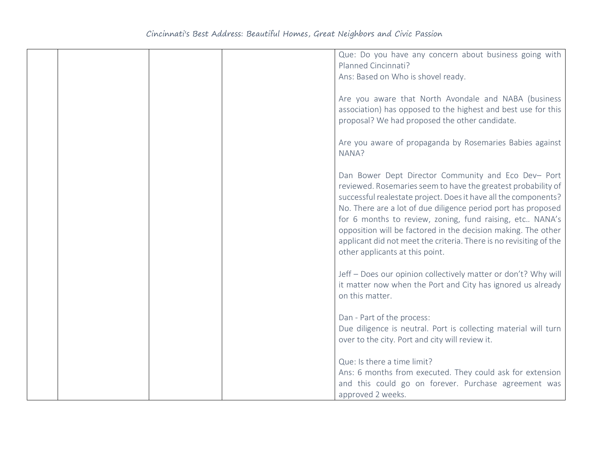|  |  | Que: Do you have any concern about business going with             |
|--|--|--------------------------------------------------------------------|
|  |  | Planned Cincinnati?                                                |
|  |  | Ans: Based on Who is shovel ready.                                 |
|  |  |                                                                    |
|  |  | Are you aware that North Avondale and NABA (business               |
|  |  | association) has opposed to the highest and best use for this      |
|  |  | proposal? We had proposed the other candidate.                     |
|  |  |                                                                    |
|  |  |                                                                    |
|  |  | Are you aware of propaganda by Rosemaries Babies against           |
|  |  | NANA?                                                              |
|  |  |                                                                    |
|  |  | Dan Bower Dept Director Community and Eco Dev- Port                |
|  |  | reviewed. Rosemaries seem to have the greatest probability of      |
|  |  | successful realestate project. Does it have all the components?    |
|  |  | No. There are a lot of due diligence period port has proposed      |
|  |  | for 6 months to review, zoning, fund raising, etc NANA's           |
|  |  | opposition will be factored in the decision making. The other      |
|  |  |                                                                    |
|  |  | applicant did not meet the criteria. There is no revisiting of the |
|  |  | other applicants at this point.                                    |
|  |  | Jeff - Does our opinion collectively matter or don't? Why will     |
|  |  |                                                                    |
|  |  | it matter now when the Port and City has ignored us already        |
|  |  | on this matter.                                                    |
|  |  |                                                                    |
|  |  | Dan - Part of the process:                                         |
|  |  | Due diligence is neutral. Port is collecting material will turn    |
|  |  | over to the city. Port and city will review it.                    |
|  |  |                                                                    |
|  |  | Que: Is there a time limit?                                        |
|  |  | Ans: 6 months from executed. They could ask for extension          |
|  |  | and this could go on forever. Purchase agreement was               |
|  |  | approved 2 weeks.                                                  |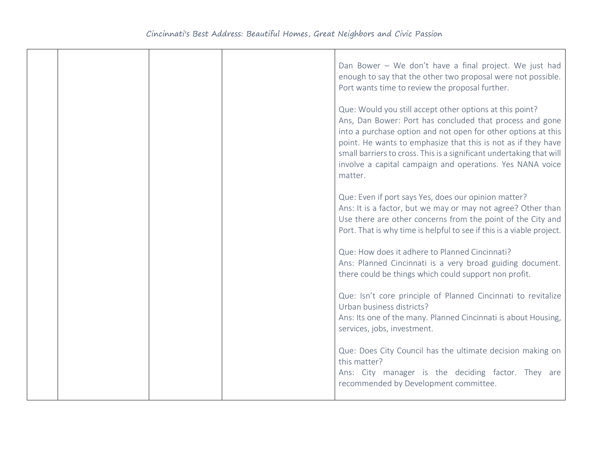|  |  | Dan Bower - We don't have a final project. We just had<br>enough to say that the other two proposal were not possible.<br>Port wants time to review the proposal further.                                                                                                                                                                                                                              |
|--|--|--------------------------------------------------------------------------------------------------------------------------------------------------------------------------------------------------------------------------------------------------------------------------------------------------------------------------------------------------------------------------------------------------------|
|  |  | Que: Would you still accept other options at this point?<br>Ans, Dan Bower: Port has concluded that process and gone<br>into a purchase option and not open for other options at this<br>point. He wants to emphasize that this is not as if they have<br>small barriers to cross. This is a significant undertaking that will<br>involve a capital campaign and operations. Yes NANA voice<br>matter. |
|  |  | Que: Even if port says Yes, does our opinion matter?<br>Ans: It is a factor, but we may or may not agree? Other than<br>Use there are other concerns from the point of the City and<br>Port. That is why time is helpful to see if this is a viable project.                                                                                                                                           |
|  |  | Que: How does it adhere to Planned Cincinnati?<br>Ans: Planned Cincinnati is a very broad guiding document.<br>there could be things which could support non profit.                                                                                                                                                                                                                                   |
|  |  | Que: Isn't core principle of Planned Cincinnati to revitalize<br>Urban business districts?<br>Ans: Its one of the many. Planned Cincinnati is about Housing,<br>services, jobs, investment.                                                                                                                                                                                                            |
|  |  | Que: Does City Council has the ultimate decision making on<br>this matter?<br>Ans: City manager is the deciding factor. They are<br>recommended by Development committee.                                                                                                                                                                                                                              |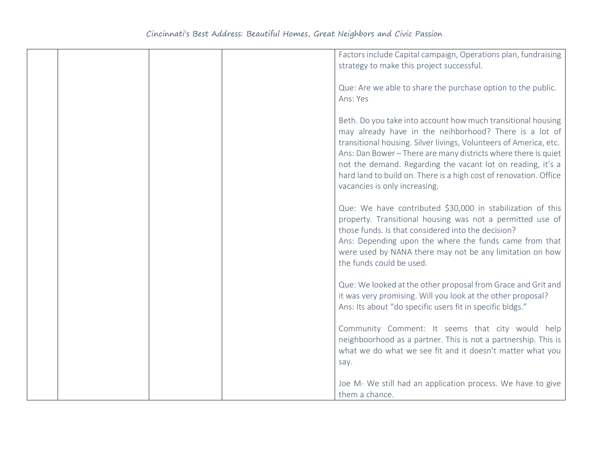|  |  | Factors include Capital campaign, Operations plan, fundraising                                     |
|--|--|----------------------------------------------------------------------------------------------------|
|  |  | strategy to make this project successful.                                                          |
|  |  |                                                                                                    |
|  |  | Que: Are we able to share the purchase option to the public.                                       |
|  |  | Ans: Yes                                                                                           |
|  |  |                                                                                                    |
|  |  | Beth. Do you take into account how much transitional housing                                       |
|  |  | may already have in the neihborhood? There is a lot of                                             |
|  |  | transitional housing. Silver livings, Volunteers of America, etc.                                  |
|  |  | Ans: Dan Bower - There are many districts where there is quiet                                     |
|  |  | not the demand. Regarding the vacant lot on reading, it's a                                        |
|  |  | hard land to build on. There is a high cost of renovation. Office<br>vacancies is only increasing. |
|  |  |                                                                                                    |
|  |  | Que: We have contributed \$30,000 in stabilization of this                                         |
|  |  | property. Transitional housing was not a permitted use of                                          |
|  |  | those funds. Is that considered into the decision?                                                 |
|  |  | Ans: Depending upon the where the funds came from that                                             |
|  |  | were used by NANA there may not be any limitation on how                                           |
|  |  | the funds could be used.                                                                           |
|  |  |                                                                                                    |
|  |  | Que: We looked at the other proposal from Grace and Grit and                                       |
|  |  | it was very promising. Will you look at the other proposal?                                        |
|  |  | Ans: Its about "do specific users fit in specific bldgs."                                          |
|  |  | Community Comment: It seems that city would help                                                   |
|  |  | neighboorhood as a partner. This is not a partnership. This is                                     |
|  |  | what we do what we see fit and it doesn't matter what you                                          |
|  |  | say.                                                                                               |
|  |  |                                                                                                    |
|  |  | Joe M- We still had an application process. We have to give                                        |
|  |  | them a chance.                                                                                     |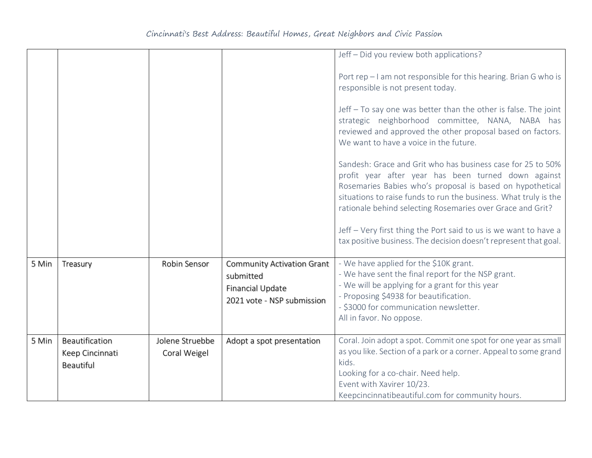|       |                                                |                                 |                                                                                                         | Jeff - Did you review both applications?                                                                                                                                                                                                                                                                          |
|-------|------------------------------------------------|---------------------------------|---------------------------------------------------------------------------------------------------------|-------------------------------------------------------------------------------------------------------------------------------------------------------------------------------------------------------------------------------------------------------------------------------------------------------------------|
|       |                                                |                                 |                                                                                                         | Port rep - I am not responsible for this hearing. Brian G who is<br>responsible is not present today.                                                                                                                                                                                                             |
|       |                                                |                                 |                                                                                                         | Jeff - To say one was better than the other is false. The joint<br>strategic neighborhood committee, NANA, NABA has<br>reviewed and approved the other proposal based on factors.<br>We want to have a voice in the future.                                                                                       |
|       |                                                |                                 |                                                                                                         | Sandesh: Grace and Grit who has business case for 25 to 50%<br>profit year after year has been turned down against<br>Rosemaries Babies who's proposal is based on hypothetical<br>situations to raise funds to run the business. What truly is the<br>rationale behind selecting Rosemaries over Grace and Grit? |
|       |                                                |                                 |                                                                                                         | Jeff - Very first thing the Port said to us is we want to have a<br>tax positive business. The decision doesn't represent that goal.                                                                                                                                                                              |
| 5 Min | Treasury                                       | Robin Sensor                    | <b>Community Activation Grant</b><br>submitted<br><b>Financial Update</b><br>2021 vote - NSP submission | - We have applied for the \$10K grant.<br>- We have sent the final report for the NSP grant.<br>- We will be applying for a grant for this year<br>- Proposing \$4938 for beautification.<br>- \$3000 for communication newsletter.<br>All in favor. No oppose.                                                   |
| 5 Min | Beautification<br>Keep Cincinnati<br>Beautiful | Jolene Struebbe<br>Coral Weigel | Adopt a spot presentation                                                                               | Coral. Join adopt a spot. Commit one spot for one year as small<br>as you like. Section of a park or a corner. Appeal to some grand<br>kids.<br>Looking for a co-chair. Need help.<br>Event with Xavirer 10/23.<br>Keepcincinnatibeautiful.com for community hours.                                               |